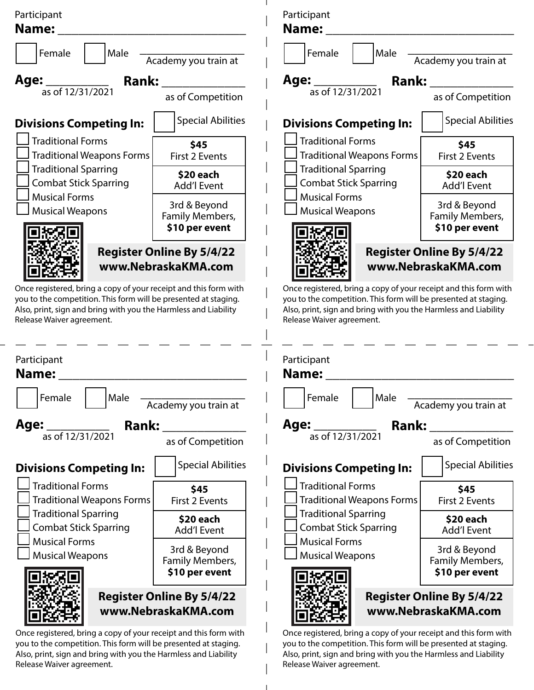

you to the competition. This form will be presented at staging. Also, print, sign and bring with you the Harmless and Liability Release Waiver agreement.

Once registered, bring a copy of your receipt and this form with you to the competition. This form will be presented at staging. Also, print, sign and bring with you the Harmless and Liability Release Waiver agreement.